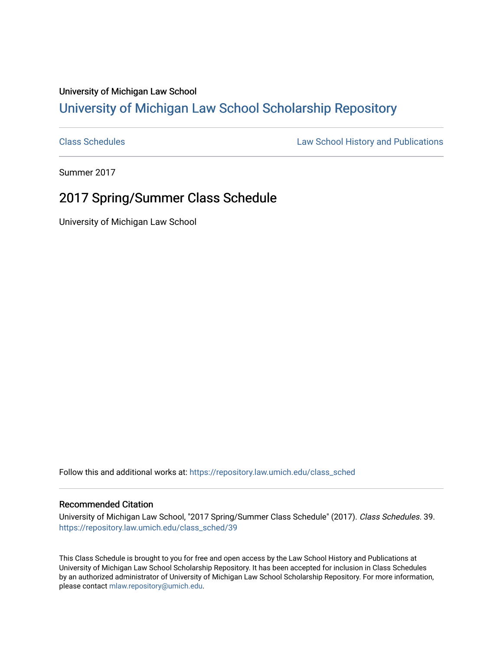## University of Michigan Law School [University of Michigan Law School Scholarship Repository](https://repository.law.umich.edu/)

[Class Schedules](https://repository.law.umich.edu/class_sched) **Law School History and Publications** 

Summer 2017

## 2017 Spring/Summer Class Schedule

University of Michigan Law School

Follow this and additional works at: [https://repository.law.umich.edu/class\\_sched](https://repository.law.umich.edu/class_sched?utm_source=repository.law.umich.edu%2Fclass_sched%2F39&utm_medium=PDF&utm_campaign=PDFCoverPages) 

## Recommended Citation

University of Michigan Law School, "2017 Spring/Summer Class Schedule" (2017). Class Schedules. 39. [https://repository.law.umich.edu/class\\_sched/39](https://repository.law.umich.edu/class_sched/39?utm_source=repository.law.umich.edu%2Fclass_sched%2F39&utm_medium=PDF&utm_campaign=PDFCoverPages)

This Class Schedule is brought to you for free and open access by the Law School History and Publications at University of Michigan Law School Scholarship Repository. It has been accepted for inclusion in Class Schedules by an authorized administrator of University of Michigan Law School Scholarship Repository. For more information, please contact [mlaw.repository@umich.edu.](mailto:mlaw.repository@umich.edu)